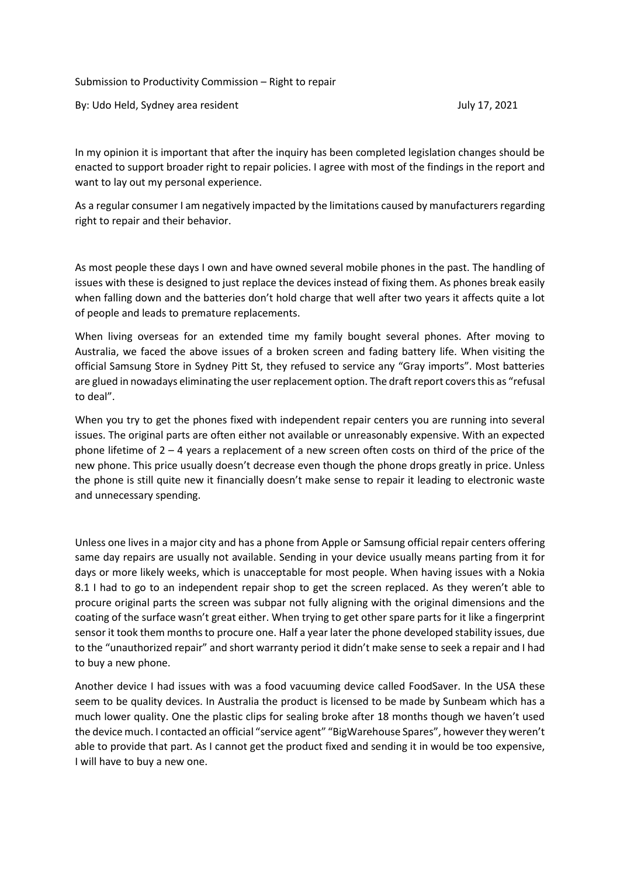Submission to Productivity Commission – Right to repair

By: Udo Held, Sydney area resident July 17, 2021

In my opinion it is important that after the inquiry has been completed legislation changes should be enacted to support broader right to repair policies. I agree with most of the findings in the report and want to lay out my personal experience.

As a regular consumer I am negatively impacted by the limitations caused by manufacturers regarding right to repair and their behavior.

As most people these days I own and have owned several mobile phones in the past. The handling of issues with these is designed to just replace the devices instead of fixing them. As phones break easily when falling down and the batteries don't hold charge that well after two years it affects quite a lot of people and leads to premature replacements.

When living overseas for an extended time my family bought several phones. After moving to Australia, we faced the above issues of a broken screen and fading battery life. When visiting the official Samsung Store in Sydney Pitt St, they refused to service any "Gray imports". Most batteries are glued in nowadays eliminating the user replacement option. The draft report covers this as "refusal to deal".

When you try to get the phones fixed with independent repair centers you are running into several issues. The original parts are often either not available or unreasonably expensive. With an expected phone lifetime of 2 – 4 years a replacement of a new screen often costs on third of the price of the new phone. This price usually doesn't decrease even though the phone drops greatly in price. Unless the phone is still quite new it financially doesn't make sense to repair it leading to electronic waste and unnecessary spending.

Unless one lives in a major city and has a phone from Apple or Samsung official repair centers offering same day repairs are usually not available. Sending in your device usually means parting from it for days or more likely weeks, which is unacceptable for most people. When having issues with a Nokia 8.1 I had to go to an independent repair shop to get the screen replaced. As they weren't able to procure original parts the screen was subpar not fully aligning with the original dimensions and the coating of the surface wasn't great either. When trying to get other spare parts for it like a fingerprint sensor it took them months to procure one. Half a year later the phone developed stability issues, due to the "unauthorized repair" and short warranty period it didn't make sense to seek a repair and I had to buy a new phone.

Another device I had issues with was a food vacuuming device called FoodSaver. In the USA these seem to be quality devices. In Australia the product is licensed to be made by Sunbeam which has a much lower quality. One the plastic clips for sealing broke after 18 months though we haven't used the device much. I contacted an official "service agent" "BigWarehouse Spares", however they weren't able to provide that part. As I cannot get the product fixed and sending it in would be too expensive, I will have to buy a new one.